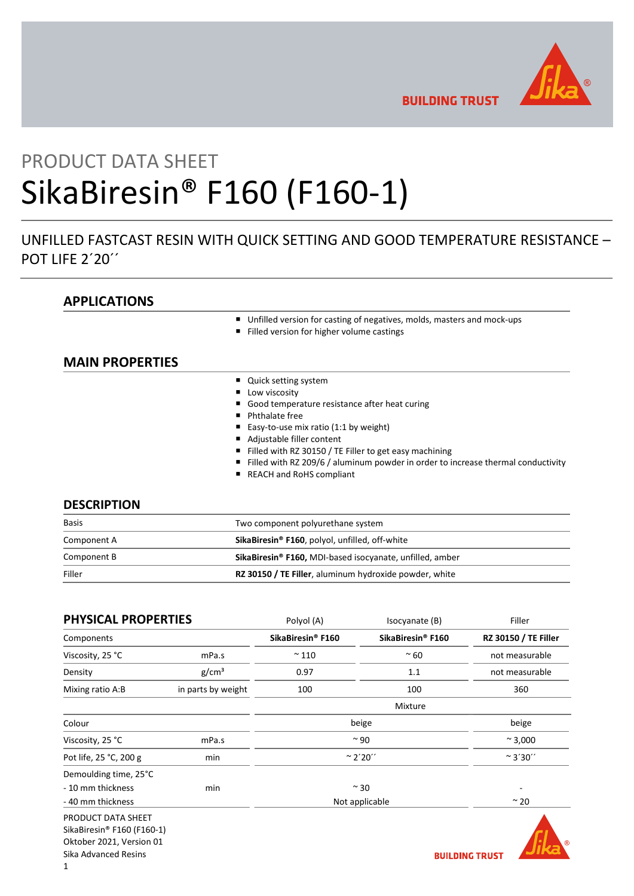

**BUILDING TRUST** 

# PRODUCT DATA SHEET SikaBiresin® F160 (F160-1)

# UNFILLED FASTCAST RESIN WITH QUICK SETTING AND GOOD TEMPERATURE RESISTANCE – POT LIFE 2'20"

# APPLICATIONS

- Unfilled version for casting of negatives, molds, masters and mock-ups
- Filled version for higher volume castings

# MAIN PROPERTIES

- Quick setting system
- **Low viscosity**
- Good temperature resistance after heat curing
- **Phthalate free**
- Easy-to-use mix ratio (1:1 by weight)
- Adjustable filler content
- Filled with RZ 30150 / TE Filler to get easy machining
- Filled with RZ 209/6 / aluminum powder in order to increase thermal conductivity
- REACH and RoHS compliant

## **DESCRIPTION**

| <b>Basis</b> | Two component polyurethane system                                    |  |
|--------------|----------------------------------------------------------------------|--|
| Component A  | SikaBiresin <sup>®</sup> F160, polyol, unfilled, off-white           |  |
| Component B  | SikaBiresin <sup>®</sup> F160, MDI-based isocyanate, unfilled, amber |  |
| Filler       | RZ 30150 / TE Filler, aluminum hydroxide powder, white               |  |

| <b>PHYSICAL PROPERTIES</b> |                    | Polyol (A)                    | Isocyanate (B)    | Filler                      |
|----------------------------|--------------------|-------------------------------|-------------------|-----------------------------|
| Components                 |                    | SikaBiresin <sup>®</sup> F160 | SikaBiresin® F160 | <b>RZ 30150 / TE Filler</b> |
| Viscosity, 25 °C           | mPa.s              | $~^{\sim}$ 110                | $~\sim 60$        | not measurable              |
| Density                    | g/cm <sup>3</sup>  | 0.97                          | 1.1               | not measurable              |
| Mixing ratio A:B           | in parts by weight | 100                           | 100               | 360                         |
|                            |                    |                               | Mixture           |                             |
| Colour                     |                    |                               | beige             | beige                       |
| Viscosity, 25 °C           | mPa.s              | $~^{\sim}$ 90                 |                   | $~^{\sim}$ 3,000            |
| Pot life, 25 °C, 200 g     | min                | $\approx$ 2'20''              |                   | $~^{\sim}$ 3'30''           |
| Demoulding time, 25°C      |                    |                               |                   |                             |
| - 10 mm thickness          | min                |                               | $~\sim$ 30        |                             |
| - 40 mm thickness          |                    |                               | Not applicable    | $~\sim$ 20                  |
| PRODUCT DATA SHEET         |                    |                               |                   |                             |
| SikaBiresin® F160 (F160-1) |                    |                               |                   |                             |
| Oktober 2021, Version 01   |                    |                               |                   | ര                           |
| Sika Advanced Resins       |                    |                               |                   | <b>BUILDING TRUST</b>       |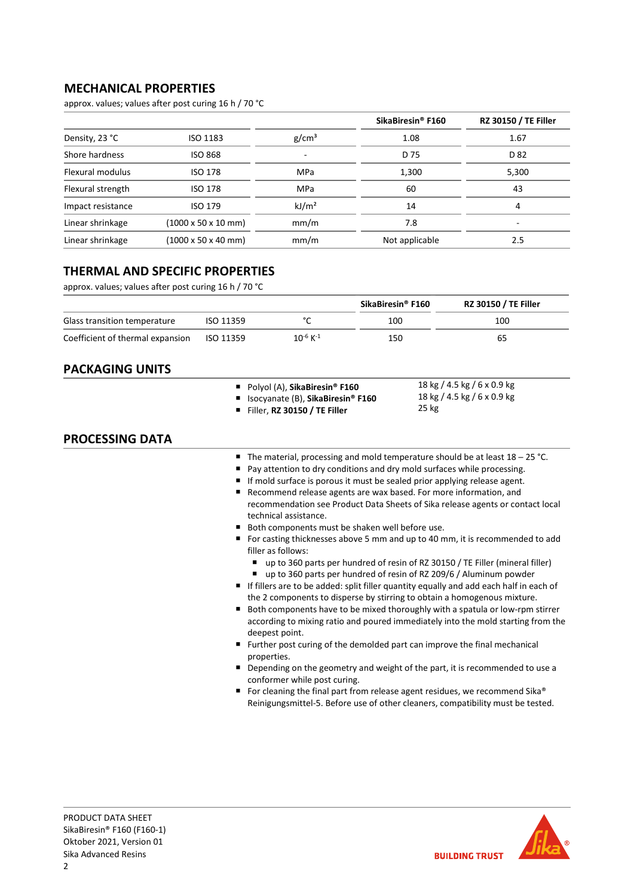# MECHANICAL PROPERTIES

approx. values; values after post curing 16 h / 70 °C

|                   |                                         |                          | SikaBiresin <sup>®</sup> F160 | <b>RZ 30150 / TE Filler</b> |
|-------------------|-----------------------------------------|--------------------------|-------------------------------|-----------------------------|
| Density, 23 °C    | ISO 1183                                | g/cm <sup>3</sup>        | 1.08                          | 1.67                        |
| Shore hardness    | <b>ISO 868</b>                          | $\overline{\phantom{0}}$ | D 75                          | D 82                        |
| Flexural modulus  | <b>ISO 178</b>                          | MPa                      | 1,300                         | 5,300                       |
| Flexural strength | <b>ISO 178</b>                          | MPa                      | 60                            | 43                          |
| Impact resistance | ISO 179                                 | kJ/m <sup>2</sup>        | 14                            | 4                           |
| Linear shrinkage  | $(1000 \times 50 \times 10 \text{ mm})$ | mm/m                     | 7.8                           |                             |
| Linear shrinkage  | $(1000 \times 50 \times 40 \text{ mm})$ | mm/m                     | Not applicable                | 2.5                         |

# THERMAL AND SPECIFIC PROPERTIES

approx. values; values after post curing 16 h / 70 °C

|                                  |           |                           | SikaBiresin® F160 | <b>RZ 30150 / TE Filler</b> |
|----------------------------------|-----------|---------------------------|-------------------|-----------------------------|
| Glass transition temperature     | ISO 11359 |                           | 100               | 100                         |
| Coefficient of thermal expansion | ISO 11359 | $10^{-6}$ K <sup>-1</sup> | 150               | 65                          |

# PACKAGING UNITS

| Polyol (A), SikaBiresin <sup>®</sup> F160       | 18 kg / 4.5 kg / 6 x 0.9 kg |
|-------------------------------------------------|-----------------------------|
| ■ Isocyanate (B), SikaBiresin <sup>®</sup> F160 | 18 kg / 4.5 kg / 6 x 0.9 kg |
| Filler, RZ 30150 / TE Filler                    | 25 kg                       |

# PROCESSING DATA

- The material, processing and mold temperature should be at least  $18 25$  °C.
- Pay attention to dry conditions and dry mold surfaces while processing.
- If mold surface is porous it must be sealed prior applying release agent.
- Recommend release agents are wax based. For more information, and recommendation see Product Data Sheets of Sika release agents or contact local technical assistance.
- Both components must be shaken well before use.
- For casting thicknesses above 5 mm and up to 40 mm, it is recommended to add filler as follows:
	- up to 360 parts per hundred of resin of RZ 30150 / TE Filler (mineral filler)
	- up to 360 parts per hundred of resin of RZ 209/6 / Aluminum powder
- If fillers are to be added: split filler quantity equally and add each half in each of the 2 components to disperse by stirring to obtain a homogenous mixture.
- Both components have to be mixed thoroughly with a spatula or low-rpm stirrer according to mixing ratio and poured immediately into the mold starting from the deepest point.
- Further post curing of the demolded part can improve the final mechanical properties.
- Depending on the geometry and weight of the part, it is recommended to use a conformer while post curing.
- For cleaning the final part from release agent residues, we recommend Sika® Reinigungsmittel-5. Before use of other cleaners, compatibility must be tested.

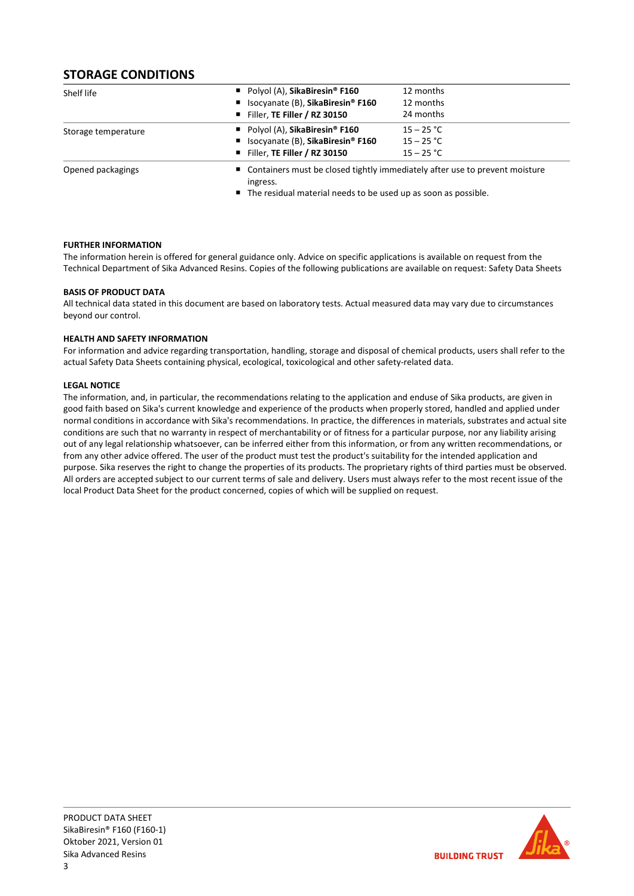# STORAGE CONDITIONS

| Shelf life          | Polyol (A), SikaBiresin <sup>®</sup> F160                                                 | 12 months    |
|---------------------|-------------------------------------------------------------------------------------------|--------------|
|                     | ■ Isocyanate (B), SikaBiresin <sup>®</sup> F160                                           | 12 months    |
|                     | Filler, TE Filler / RZ 30150                                                              | 24 months    |
| Storage temperature | Polyol (A), SikaBiresin <sup>®</sup> F160                                                 | $15 - 25 °C$ |
|                     | ■ Isocyanate (B), SikaBiresin® F160                                                       | $15 - 25 °C$ |
|                     | Filler, TE Filler / RZ 30150                                                              | $15 - 25 °C$ |
| Opened packagings   | ■ Containers must be closed tightly immediately after use to prevent moisture<br>ingress. |              |

■ The residual material needs to be used up as soon as possible.

## FURTHER INFORMATION

The information herein is offered for general guidance only. Advice on specific applications is available on request from the Technical Department of Sika Advanced Resins. Copies of the following publications are available on request: Safety Data Sheets

## BASIS OF PRODUCT DATA

All technical data stated in this document are based on laboratory tests. Actual measured data may vary due to circumstances beyond our control.

## HEALTH AND SAFETY INFORMATION

For information and advice regarding transportation, handling, storage and disposal of chemical products, users shall refer to the actual Safety Data Sheets containing physical, ecological, toxicological and other safety-related data.

## LEGAL NOTICE

The information, and, in particular, the recommendations relating to the application and enduse of Sika products, are given in good faith based on Sika's current knowledge and experience of the products when properly stored, handled and applied under normal conditions in accordance with Sika's recommendations. In practice, the differences in materials, substrates and actual site conditions are such that no warranty in respect of merchantability or of fitness for a particular purpose, nor any liability arising out of any legal relationship whatsoever, can be inferred either from this information, or from any written recommendations, or from any other advice offered. The user of the product must test the product's suitability for the intended application and purpose. Sika reserves the right to change the properties of its products. The proprietary rights of third parties must be observed. All orders are accepted subject to our current terms of sale and delivery. Users must always refer to the most recent issue of the local Product Data Sheet for the product concerned, copies of which will be supplied on request.